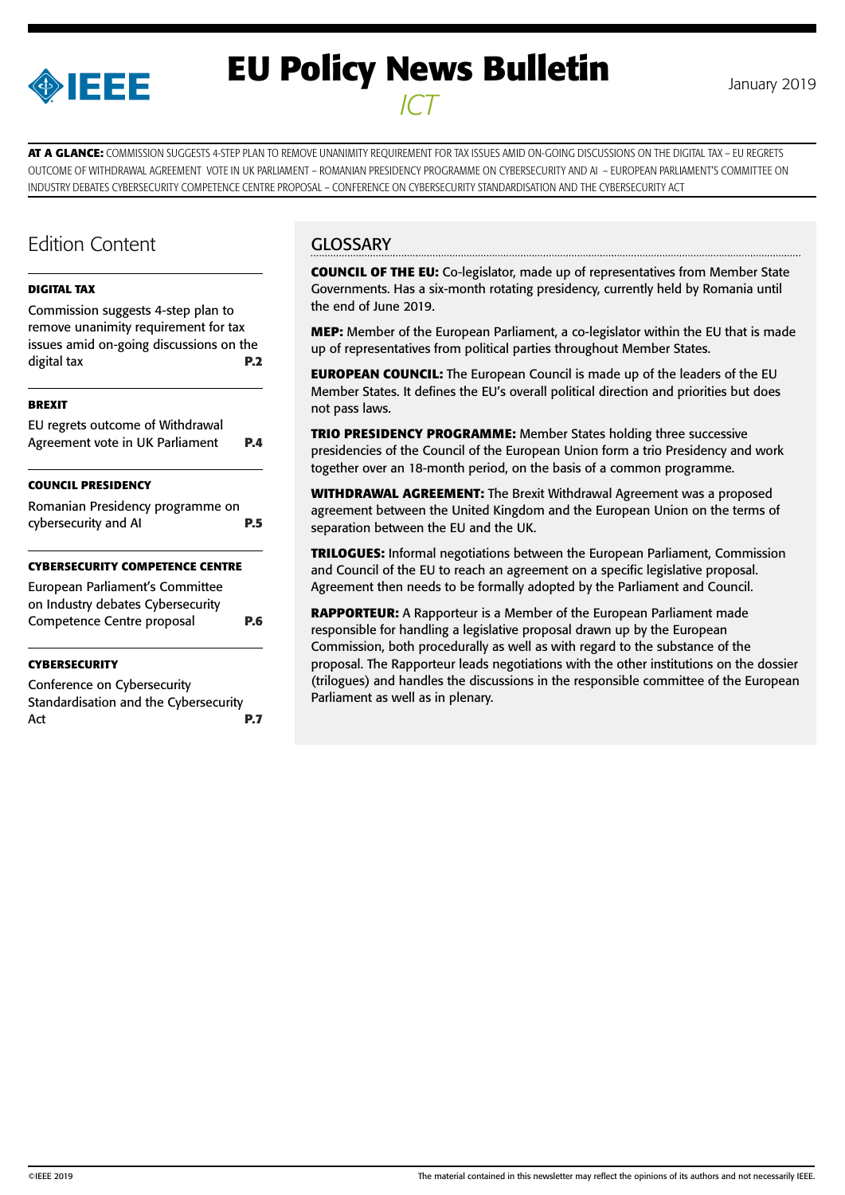

# **EU Policy News Bulletin** January 2019 *ICT*

**AT A GLANCE:** COMMISSION SUGGESTS 4-STEP PLAN TO REMOVE UNANIMITY REQUIREMENT FOR TAX ISSUES AMID ON-GOING DISCUSSIONS ON THE DIGITAL TAX – EU REGRETS OUTCOME OF WITHDRAWAL AGREEMENT VOTE IN UK PARLIAMENT – ROMANIAN PRESIDENCY PROGRAMME ON CYBERSECURITY AND AI – EUROPEAN PARLIAMENT'S COMMITTEE ON INDUSTRY DEBATES CYBERSECURITY COMPETENCE CENTRE PROPOSAL – CONFERENCE ON CYBERSECURITY STANDARDISATION AND THE CYBERSECURITY ACT

## Edition Content

#### **[DIGITAL TAX](#page-1-0)**

[Commission suggests 4-step plan to](#page-1-0)  [remove unanimity requirement for tax](#page-1-0)  [issues amid on-going discussions on the](#page-1-0)  [digital tax](#page-1-0) **P.2**

#### **[BREXIT](#page-3-0)**

| EU regrets outcome of Withdrawal |            |
|----------------------------------|------------|
| Agreement vote in UK Parliament  | <b>P.4</b> |

#### **[COUNCIL PRESIDENCY](#page-4-0)**

| Romanian Presidency programme on |            |  |
|----------------------------------|------------|--|
| cybersecurity and AI             | <b>P.5</b> |  |

#### **[CYBERSECURITY COMPETENCE CENTRE](#page-5-0)**

| European Parliament's Committee<br>on Industry debates Cybersecurity |            |
|----------------------------------------------------------------------|------------|
| Competence Centre proposal                                           | <b>P.6</b> |
|                                                                      |            |

#### **[CYBERSECURITY](#page-6-0)**

[Conference on Cybersecurity](#page-6-0)  [Standardisation and the Cybersecurity](#page-6-0)  Act **[P.7](#page-6-0)**

### **GLOSSARY**

**COUNCIL OF THE EU:** Co-legislator, made up of representatives from Member State Governments. Has a six-month rotating presidency, currently held by Romania until the end of June 2019.

**MEP:** Member of the European Parliament, a co-legislator within the EU that is made up of representatives from political parties throughout Member States.

**EUROPEAN COUNCIL:** The European Council is made up of the leaders of the EU Member States. It defines the EU's overall political direction and priorities but does not pass laws.

**TRIO PRESIDENCY PROGRAMME:** Member States holding three successive presidencies of the Council of the European Union form a trio Presidency and work together over an 18-month period, on the basis of a common programme.

**WITHDRAWAL AGREEMENT:** The Brexit Withdrawal Agreement was a proposed agreement between the United Kingdom and the European Union on the terms of separation between the EU and the UK.

**TRILOGUES:** Informal negotiations between the European Parliament, Commission and Council of the EU to reach an agreement on a specific legislative proposal. Agreement then needs to be formally adopted by the Parliament and Council.

**RAPPORTEUR:** A Rapporteur is a Member of the European Parliament made responsible for handling a legislative proposal drawn up by the European Commission, both procedurally as well as with regard to the substance of the proposal. The Rapporteur leads negotiations with the other institutions on the dossier (trilogues) and handles the discussions in the responsible committee of the European Parliament as well as in plenary.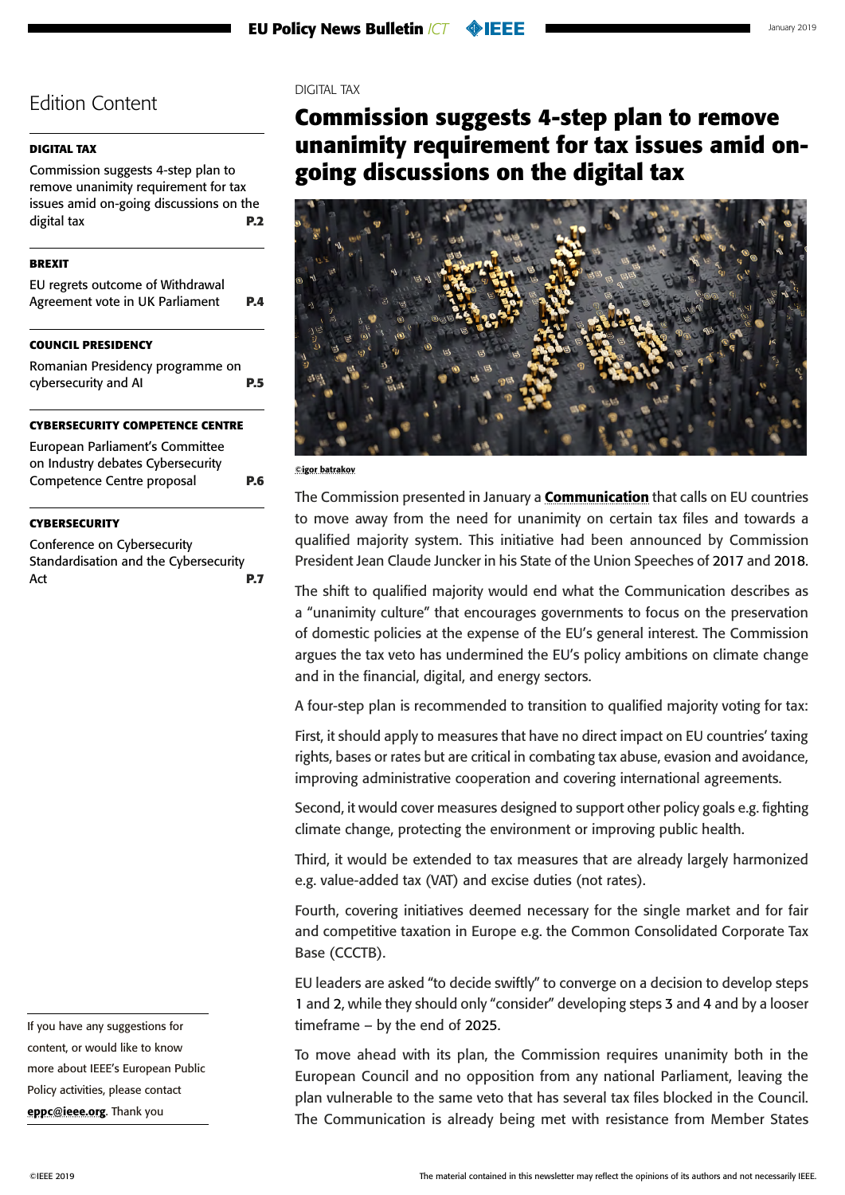#### <span id="page-1-0"></span>**DIGITAL TAX**

Commission suggests 4-step plan to remove unanimity requirement for tax issues amid on-going discussions on the digital tax **P.2**

#### **[BREXIT](#page-3-0)**

| CAULUCUL BRECIBELLCV             |     |
|----------------------------------|-----|
| Agreement vote in UK Parliament  | P.4 |
| EU regrets outcome of Withdrawal |     |

#### **OUNCIL PRESIDENCY**

[Romanian Presidency programme on](#page-4-0)  [cybersecurity and AI](#page-4-0) **P.5**

#### **[CYBERSECURITY COMPETENCE CENTRE](#page-5-0)**

| European Parliament's Committee   |     |
|-----------------------------------|-----|
| on Industry debates Cybersecurity |     |
| Competence Centre proposal        | P.6 |

#### **[CYBERSECURITY](#page-6-0)**

[Conference on Cybersecurity](#page-6-0)  [Standardisation and the Cybersecurity](#page-6-0)  Act **[P.7](#page-6-0)** 

If you have any suggestions for content, or would like to know more about IEEE's European Public Policy activities, please contact [eppc@ieee.org](mailto:eppc%40ieee.org?subject=). Thank you

#### DIGITAL TAX

## **Commission suggests 4-step plan to remove unanimity requirement for tax issues amid ongoing discussions on the digital tax**



#### ©igor batrakov

The Commission presented in January a **[Communication](https://ec.europa.eu/taxation_customs/sites/taxation/files/15_01_2019_communication_towards_a_more_efficient_democratic_decision_making_eu_tax_policy_en.pdf)** that calls on EU countries to move away from the need for unanimity on certain tax files and towards a qualified majority system. This initiative had been announced by Commission President Jean Claude Juncker in his State of the Union Speeches of 2017 and 2018.

The shift to qualified majority would end what the Communication describes as a "unanimity culture" that encourages governments to focus on the preservation of domestic policies at the expense of the EU's general interest. The Commission argues the tax veto has undermined the EU's policy ambitions on climate change and in the financial, digital, and energy sectors.

A four-step plan is recommended to transition to qualified majority voting for tax:

First, it should apply to measures that have no direct impact on EU countries' taxing rights, bases or rates but are critical in combating tax abuse, evasion and avoidance, improving administrative cooperation and covering international agreements.

Second, it would cover measures designed to support other policy goals e.g. fighting climate change, protecting the environment or improving public health.

Third, it would be extended to tax measures that are already largely harmonized e.g. value-added tax (VAT) and excise duties (not rates).

Fourth, covering initiatives deemed necessary for the single market and for fair and competitive taxation in Europe e.g. the Common Consolidated Corporate Tax Base (CCCTB).

EU leaders are asked "to decide swiftly" to converge on a decision to develop steps 1 and 2, while they should only "consider" developing steps 3 and 4 and by a looser timeframe – by the end of 2025.

To move ahead with its plan, the Commission requires unanimity both in the European Council and no opposition from any national Parliament, leaving the plan vulnerable to the same veto that has several tax files blocked in the Council. The Communication is already being met with resistance from Member States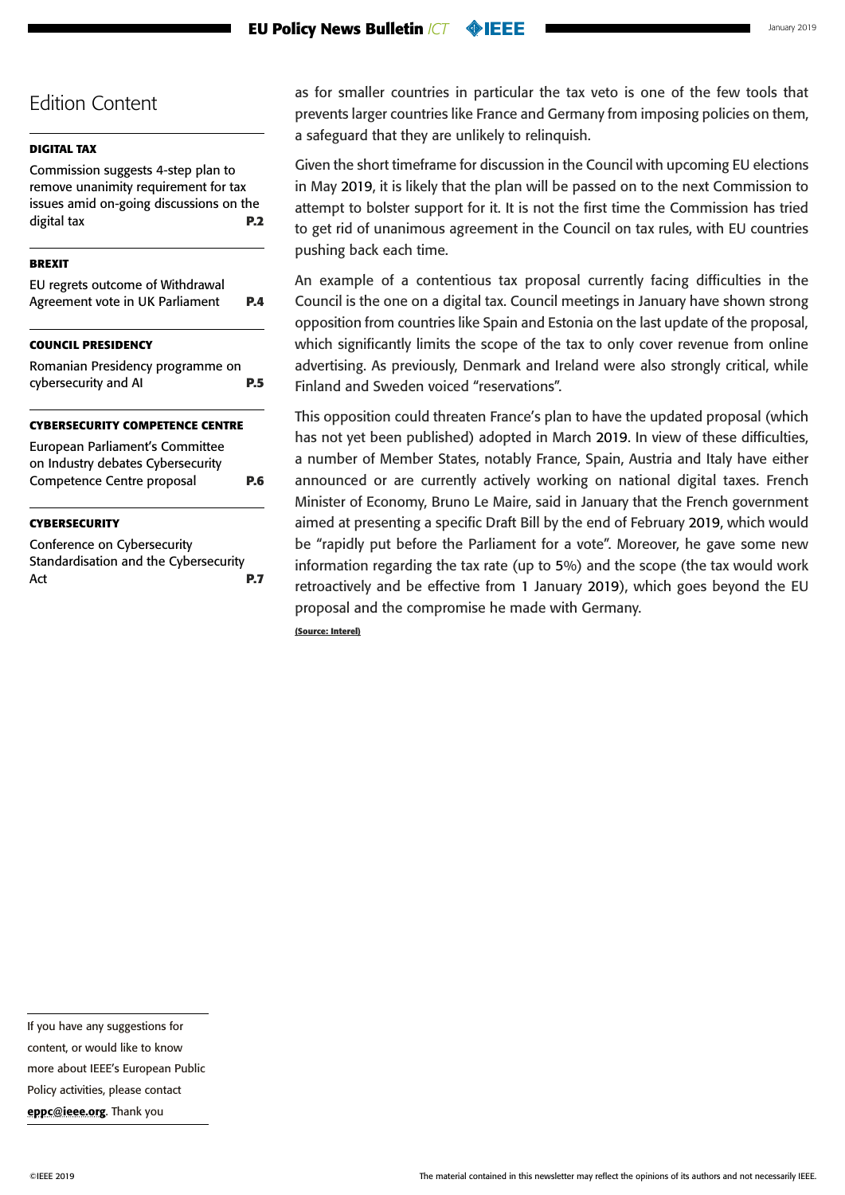#### **EU Policy News Bulletin** *ICT* **OIEEE**

### Edition Content

#### **[DIGITAL TAX](#page-1-0)**

[Commission suggests 4-step plan to](#page-1-0)  [remove unanimity requirement for tax](#page-1-0)  [issues amid on-going discussions on the](#page-1-0)  [digital tax](#page-1-0) **P.2**

#### **[BREXIT](#page-3-0)**

| EU regrets outcome of Withdrawal<br>Agreement vote in UK Parliament  | <b>P.4</b> |
|----------------------------------------------------------------------|------------|
| <b>COUNCIL PRESIDENCY</b>                                            |            |
| Romanian Presidency programme on<br>cybersecurity and AI             | P.5        |
| <b>CYBERSECURITY COMPETENCE CENTRE</b>                               |            |
| European Parliament's Committee<br>on Industry debates Cybersecurity |            |
| Competence Centre proposal                                           | P.6        |

#### **[CYBERSECURITY](#page-6-0)**

[Conference on Cybersecurity](#page-6-0)  [Standardisation and the Cybersecurity](#page-6-0)  Act **[P.7](#page-6-0)** 

as for smaller countries in particular the tax veto is one of the few tools that prevents larger countries like France and Germany from imposing policies on them, a safeguard that they are unlikely to relinquish.

Given the short timeframe for discussion in the Council with upcoming EU elections in May 2019, it is likely that the plan will be passed on to the next Commission to attempt to bolster support for it. It is not the first time the Commission has tried to get rid of unanimous agreement in the Council on tax rules, with EU countries pushing back each time.

An example of a contentious tax proposal currently facing difficulties in the Council is the one on a digital tax. Council meetings in January have shown strong opposition from countries like Spain and Estonia on the last update of the proposal, which significantly limits the scope of the tax to only cover revenue from online advertising. As previously, Denmark and Ireland were also strongly critical, while Finland and Sweden voiced "reservations".

This opposition could threaten France's plan to have the updated proposal (which has not yet been published) adopted in March 2019. In view of these difficulties, a number of Member States, notably France, Spain, Austria and Italy have either announced or are currently actively working on national digital taxes. French Minister of Economy, Bruno Le Maire, said in January that the French government aimed at presenting a specific Draft Bill by the end of February 2019, which would be "rapidly put before the Parliament for a vote". Moreover, he gave some new information regarding the tax rate (up to 5%) and the scope (the tax would work retroactively and be effective from 1 January 2019), which goes beyond the EU proposal and the compromise he made with Germany.

**(Source: Interel)**

If you have any suggestions for

content, or would like to know

more about IEEE's European Public

Policy activities, please contact

[eppc@ieee.org](mailto:eppc%40ieee.org?subject=). Thank you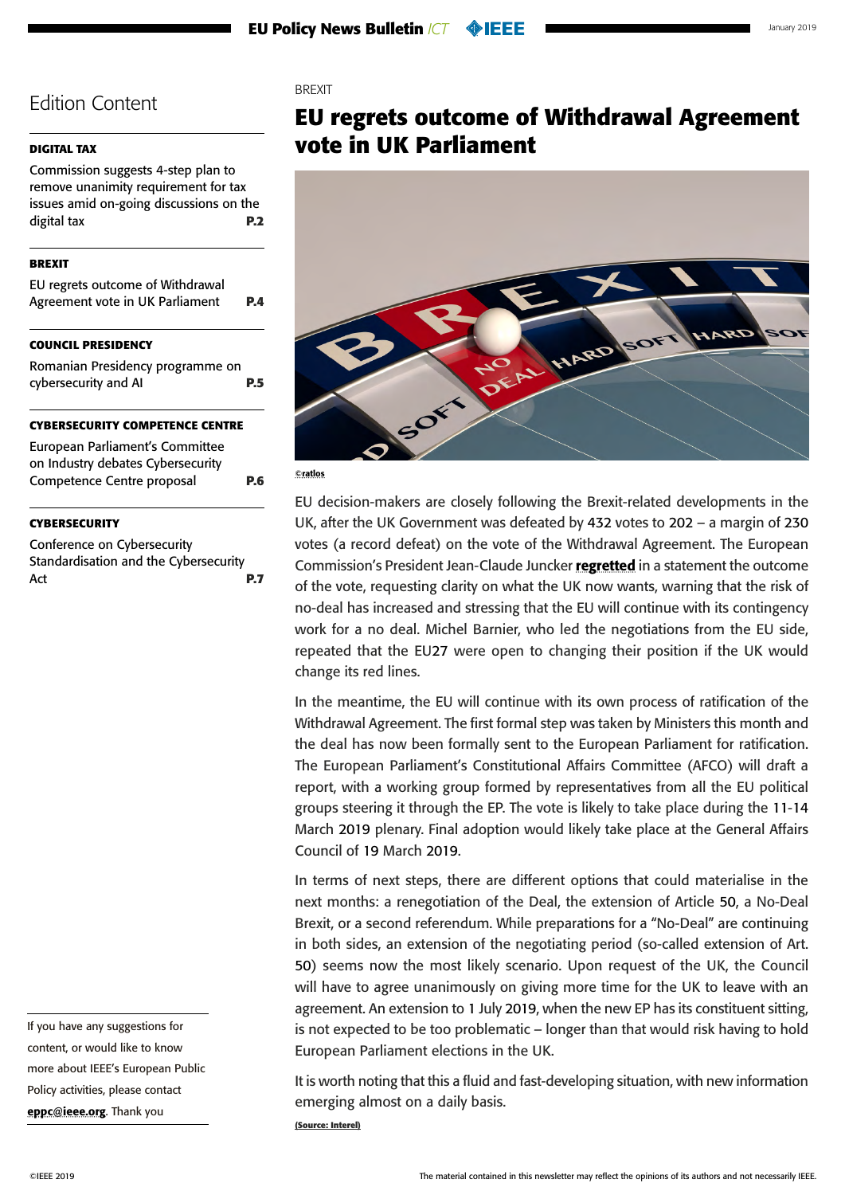#### <span id="page-3-0"></span>**[DIGITAL TAX](#page-1-0)**

[Commission suggests 4-step plan to](#page-1-0)  [remove unanimity requirement for tax](#page-1-0)  [issues amid on-going discussions on the](#page-1-0)  [digital tax](#page-1-0) **P.2**

#### **BREXIT**

| <b>COUNCIL PRESIDENCY</b>        |            |
|----------------------------------|------------|
| Agreement vote in UK Parliament  | <b>P.4</b> |
| EU regrets outcome of Withdrawal |            |

[Romanian Presidency programme on](#page-4-0)  [cybersecurity and AI](#page-4-0) **P.5**

#### **[CYBERSECURITY COMPETENCE CENTRE](#page-5-0)**

| European Parliament's Committee   |     |
|-----------------------------------|-----|
| on Industry debates Cybersecurity |     |
| Competence Centre proposal        | P.6 |

#### **[CYBERSECURITY](#page-6-0)**

[Conference on Cybersecurity](#page-6-0)  [Standardisation and the Cybersecurity](#page-6-0)  Act **[P.7](#page-6-0)** 

If you have any suggestions for content, or would like to know more about IEEE's European Public Policy activities, please contact [eppc@ieee.org](mailto:eppc%40ieee.org?subject=). Thank you

#### **BREXIT**

## **EU regrets outcome of Withdrawal Agreement vote in UK Parliament**



#### ©ratlos

EU decision-makers are closely following the Brexit-related developments in the UK, after the UK Government was defeated by 432 votes to 202 – a margin of 230 votes (a record defeat) on the vote of the Withdrawal Agreement. The European Commission's President Jean-Claude Juncker [regretted](http://europa.eu/rapid/press-release_STATEMENT-19-432_en.htm?utm_source=POLITICO.EU&utm_campaign=0c3d26473d-EMAIL_CAMPAIGN_2019_01_16_05_48&utm_medium=email&utm_term=0_10959edeb5-0c3d26473d-189783713) in a statement the outcome of the vote, requesting clarity on what the UK now wants, warning that the risk of no-deal has increased and stressing that the EU will continue with its contingency work for a no deal. Michel Barnier, who led the negotiations from the EU side, repeated that the EU27 were open to changing their position if the UK would change its red lines.

In the meantime, the EU will continue with its own process of ratification of the Withdrawal Agreement. The first formal step was taken by Ministers this month and the deal has now been formally sent to the European Parliament for ratification. The European Parliament's Constitutional Affairs Committee (AFCO) will draft a report, with a working group formed by representatives from all the EU political groups steering it through the EP. The vote is likely to take place during the 11-14 March 2019 plenary. Final adoption would likely take place at the General Affairs Council of 19 March 2019.

In terms of next steps, there are different options that could materialise in the next months: a renegotiation of the Deal, the extension of Article 50, a No-Deal Brexit, or a second referendum. While preparations for a "No-Deal" are continuing in both sides, an extension of the negotiating period (so-called extension of Art. 50) seems now the most likely scenario. Upon request of the UK, the Council will have to agree unanimously on giving more time for the UK to leave with an agreement. An extension to 1 July 2019, when the new EP has its constituent sitting, is not expected to be too problematic – longer than that would risk having to hold European Parliament elections in the UK.

It is worth noting that this a fluid and fast-developing situation, with new information emerging almost on a daily basis.

**(Source: Interel)**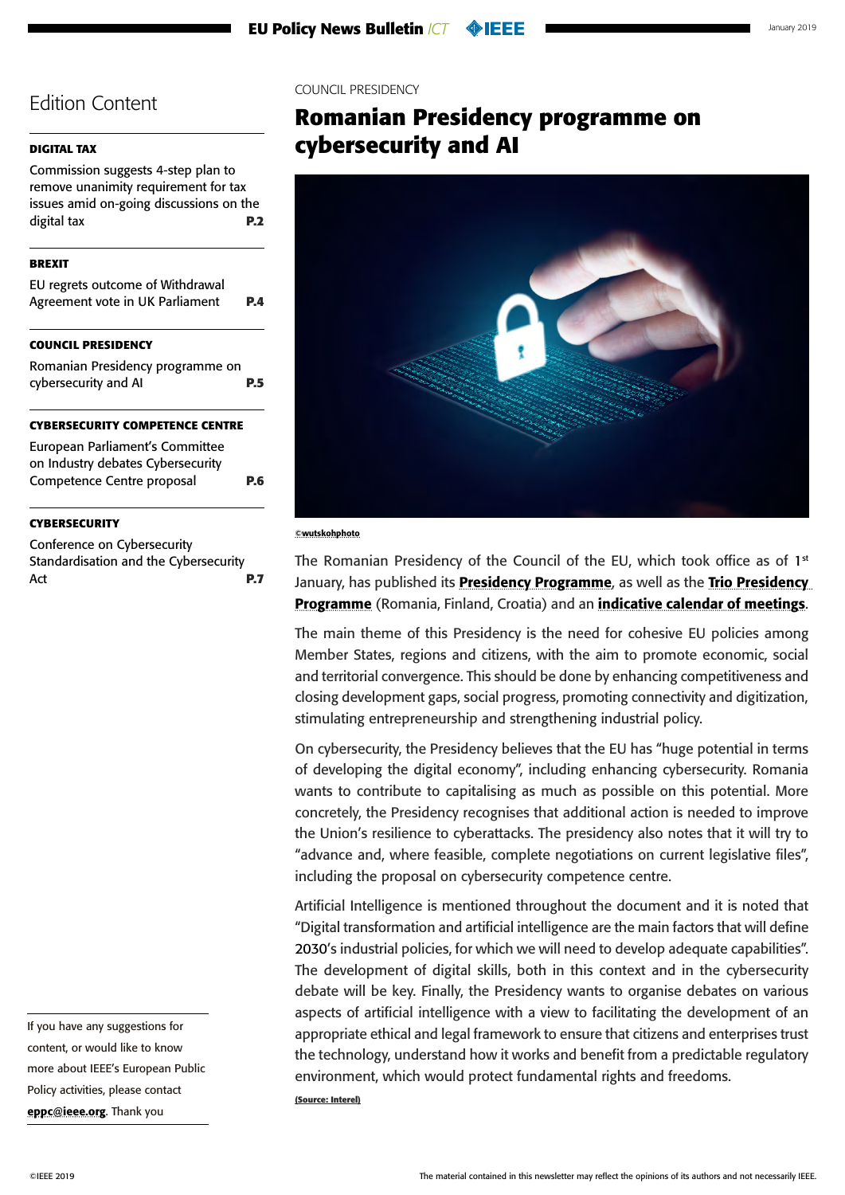#### <span id="page-4-0"></span>**[DIGITAL TAX](#page-1-0)**

[Commission suggests 4-step plan to](#page-1-0)  [remove unanimity requirement for tax](#page-1-0)  [issues amid on-going discussions on the](#page-1-0)  [digital tax](#page-1-0) **P.2**

#### **[BREXIT](#page-3-0)**

| EU regrets outcome of Withdrawal<br>Agreement vote in UK Parliament | PД |
|---------------------------------------------------------------------|----|
| <b>COUNCIL PRESIDENCY</b>                                           |    |
| Romanian Presidency programme on<br>cybersecurity and AI            |    |

#### **[CYBERSECURITY COMPETENCE CENTRE](#page-5-0)**

[European Parliament's Committee](#page-5-0)  [on Industry debates Cybersecurity](#page-5-0)  [Competence Centre proposal](#page-5-0) **P.6**

#### **[CYBERSECURITY](#page-6-0)**

[Conference on Cybersecurity](#page-6-0)  [Standardisation and the Cybersecurity](#page-6-0)  Act **[P.7](#page-6-0)** 

If you have any suggestions for content, or would like to know more about IEEE's European Public Policy activities, please contact [eppc@ieee.org](mailto:eppc%40ieee.org?subject=). Thank you

#### COUNCIL PRESIDENCY

## **Romanian Presidency programme on cybersecurity and AI**



#### ©wutskohphoto

The Romanian Presidency of the Council of the EU, which took office as of  $1<sup>st</sup>$ January, has published its **[Presidency Programme](https://www.romania2019.eu/wp-content/uploads/2017/11/en_rogramme_ropres2019.pdf)**, as well as the Trio Presidency [Programme](http://data.consilium.europa.eu/doc/document/ST-14518-2018-INIT/en/pdf) (Romania, Finland, Croatia) and an *[indicative calendar of meetings](https://www.consilium.europa.eu/media/37255/romanian-presidency-draft-calendar_181203.pdf)*.

The main theme of this Presidency is the need for cohesive EU policies among Member States, regions and citizens, with the aim to promote economic, social and territorial convergence. This should be done by enhancing competitiveness and closing development gaps, social progress, promoting connectivity and digitization, stimulating entrepreneurship and strengthening industrial policy.

On cybersecurity, the Presidency believes that the EU has "huge potential in terms of developing the digital economy", including enhancing cybersecurity. Romania wants to contribute to capitalising as much as possible on this potential. More concretely, the Presidency recognises that additional action is needed to improve the Union's resilience to cyberattacks. The presidency also notes that it will try to "advance and, where feasible, complete negotiations on current legislative files", including the proposal on cybersecurity competence centre.

Artificial Intelligence is mentioned throughout the document and it is noted that "Digital transformation and artificial intelligence are the main factors that will define 2030's industrial policies, for which we will need to develop adequate capabilities". The development of digital skills, both in this context and in the cybersecurity debate will be key. Finally, the Presidency wants to organise debates on various aspects of artificial intelligence with a view to facilitating the development of an appropriate ethical and legal framework to ensure that citizens and enterprises trust the technology, understand how it works and benefit from a predictable regulatory environment, which would protect fundamental rights and freedoms.

**(Source: Interel)**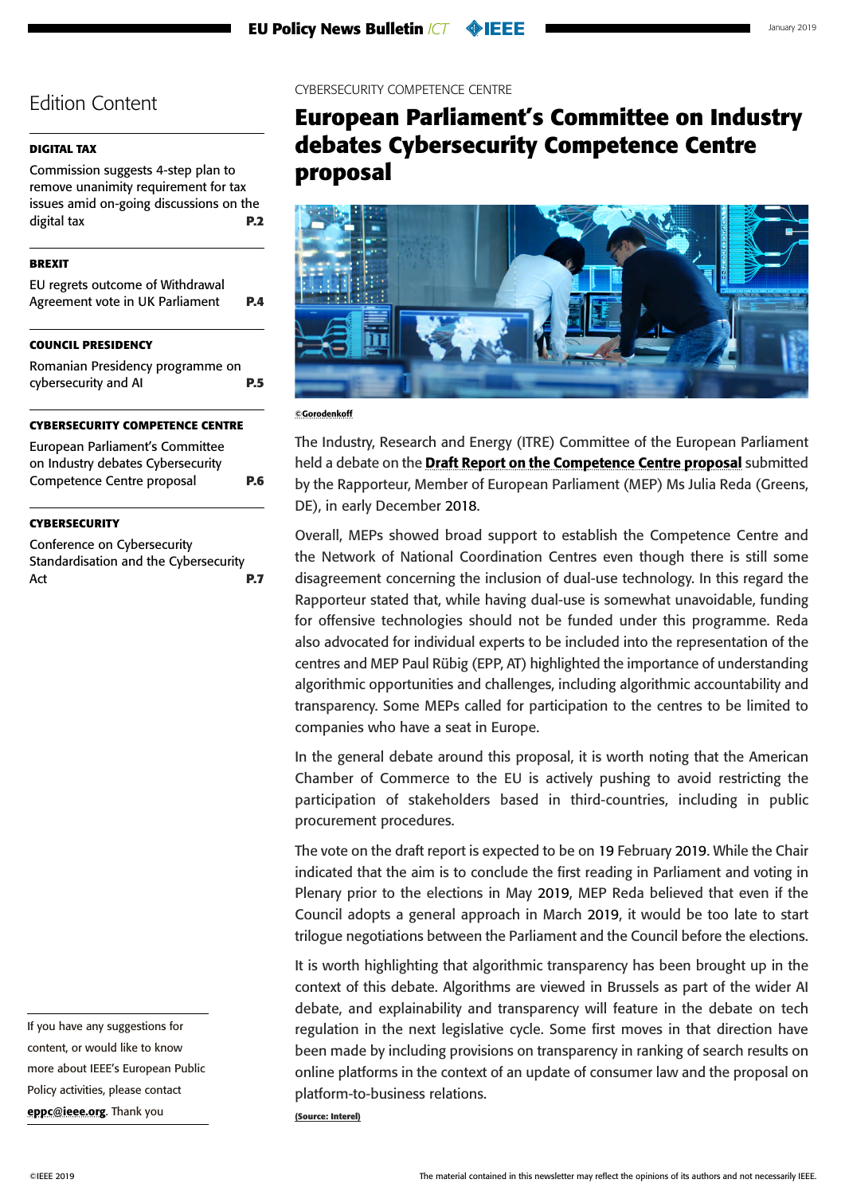#### <span id="page-5-0"></span>**[DIGITAL TAX](#page-1-0)**

[Commission suggests 4-step plan to](#page-1-0)  [remove unanimity requirement for tax](#page-1-0)  [issues amid on-going discussions on the](#page-1-0)  [digital tax](#page-1-0) **P.2**

#### **[BREXIT](#page-3-0)**

| EU regrets outcome of Withdrawal<br>Agreement vote in UK Parliament | <b>P.4</b> |
|---------------------------------------------------------------------|------------|
| <b>COUNCIL PRESIDENCY</b>                                           |            |
| <b>Domanian Dresidency programme on</b>                             |            |

Romanian Presidency [cybersecurity and AI](#page-4-0) **P.5**

#### **CYBERSECURITY COMPETENCE CENTRE**

European Parliament's Committee on Industry debates Cybersecurity Competence Centre proposal **P.6**

#### **[CYBERSECURITY](#page-6-0)**

[Conference on Cybersecurity](#page-6-0)  [Standardisation and the Cybersecurity](#page-6-0)  Act **[P.7](#page-6-0)**  CYBERSECURITY COMPETENCE CENTRE

## **European Parliament's Committee on Industry debates Cybersecurity Competence Centre proposal**



<sup>©</sup>Gorodenkoff

The Industry, Research and Energy (ITRE) Committee of the European Parliament held a debate on the [Draft Report on the Competence Centre proposal](http://www.europarl.europa.eu/meetdocs/2014_2019/plmrep/COMMITTEES/ITRE/PR/2019/01-14/1171509EN.pdf) submitted by the Rapporteur, Member of European Parliament (MEP) Ms Julia Reda (Greens, DE), in early December 2018.

Overall, MEPs showed broad support to establish the Competence Centre and the Network of National Coordination Centres even though there is still some disagreement concerning the inclusion of dual-use technology. In this regard the Rapporteur stated that, while having dual-use is somewhat unavoidable, funding for offensive technologies should not be funded under this programme. Reda also advocated for individual experts to be included into the representation of the centres and MEP Paul Rübig (EPP, AT) highlighted the importance of understanding algorithmic opportunities and challenges, including algorithmic accountability and transparency. Some MEPs called for participation to the centres to be limited to companies who have a seat in Europe.

In the general debate around this proposal, it is worth noting that the American Chamber of Commerce to the EU is actively pushing to avoid restricting the participation of stakeholders based in third-countries, including in public procurement procedures.

The vote on the draft report is expected to be on 19 February 2019. While the Chair indicated that the aim is to conclude the first reading in Parliament and voting in Plenary prior to the elections in May 2019, MEP Reda believed that even if the Council adopts a general approach in March 2019, it would be too late to start trilogue negotiations between the Parliament and the Council before the elections.

It is worth highlighting that algorithmic transparency has been brought up in the context of this debate. Algorithms are viewed in Brussels as part of the wider AI debate, and explainability and transparency will feature in the debate on tech regulation in the next legislative cycle. Some first moves in that direction have been made by including provisions on transparency in ranking of search results on online platforms in the context of an update of consumer law and the proposal on platform-to-business relations.

**(Source: Interel)**

If you have any suggestions for content, or would like to know more about IEEE's European Public Policy activities, please contact [eppc@ieee.org](mailto:eppc%40ieee.org?subject=). Thank you